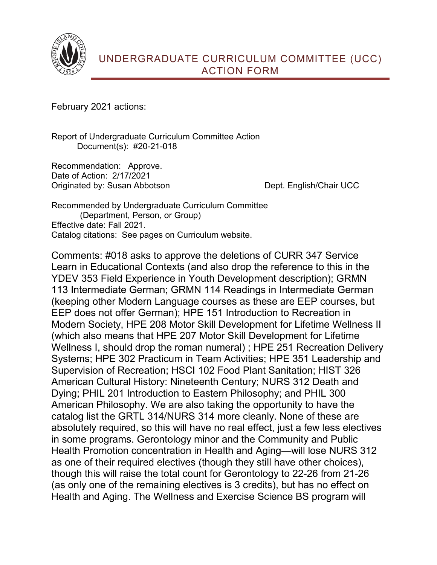

February 2021 actions:

Report of Undergraduate Curriculum Committee Action Document(s): #20-21-018

Recommendation: Approve. Date of Action: 2/17/2021 Originated by: Susan Abbotson Dept. English/Chair UCC

Recommended by Undergraduate Curriculum Committee (Department, Person, or Group) Effective date: Fall 2021. Catalog citations: See pages on Curriculum website.

Comments: #018 asks to approve the deletions of CURR 347 Service Learn in Educational Contexts (and also drop the reference to this in the YDEV 353 Field Experience in Youth Development description); GRMN 113 Intermediate German; GRMN 114 Readings in Intermediate German (keeping other Modern Language courses as these are EEP courses, but EEP does not offer German); HPE 151 Introduction to Recreation in Modern Society, HPE 208 Motor Skill Development for Lifetime Wellness II (which also means that HPE 207 Motor Skill Development for Lifetime Wellness I, should drop the roman numeral) ; HPE 251 Recreation Delivery Systems; HPE 302 Practicum in Team Activities; HPE 351 Leadership and Supervision of Recreation; HSCI 102 Food Plant Sanitation; HIST 326 American Cultural History: Nineteenth Century; NURS 312 Death and Dying; PHIL 201 Introduction to Eastern Philosophy; and PHIL 300 American Philosophy. We are also taking the opportunity to have the catalog list the GRTL 314/NURS 314 more cleanly. None of these are absolutely required, so this will have no real effect, just a few less electives in some programs. Gerontology minor and the Community and Public Health Promotion concentration in Health and Aging—will lose NURS 312 as one of their required electives (though they still have other choices), though this will raise the total count for Gerontology to 22-26 from 21-26 (as only one of the remaining electives is 3 credits), but has no effect on Health and Aging. The Wellness and Exercise Science BS program will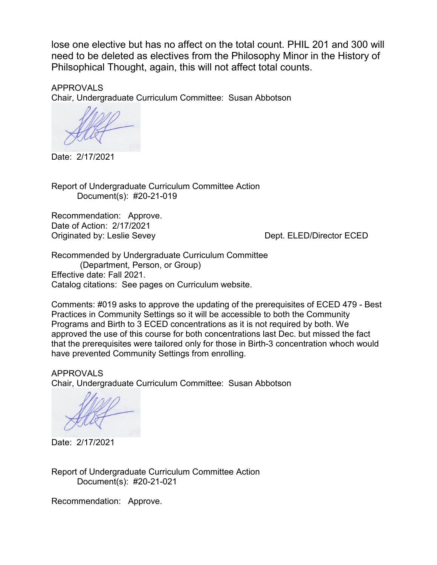lose one elective but has no affect on the total count. PHIL 201 and 300 will need to be deleted as electives from the Philosophy Minor in the History of Philsophical Thought, again, this will not affect total counts.

APPROVALS Chair, Undergraduate Curriculum Committee: Susan Abbotson

Date: 2/17/2021

Report of Undergraduate Curriculum Committee Action Document(s): #20-21-019

Recommendation: Approve. Date of Action: 2/17/2021 Originated by: Leslie Sevey Dept. ELED/Director ECED

Recommended by Undergraduate Curriculum Committee (Department, Person, or Group) Effective date: Fall 2021. Catalog citations: See pages on Curriculum website.

Comments: #019 asks to approve the updating of the prerequisites of ECED 479 - Best Practices in Community Settings so it will be accessible to both the Community Programs and Birth to 3 ECED concentrations as it is not required by both. We approved the use of this course for both concentrations last Dec. but missed the fact that the prerequisites were tailored only for those in Birth-3 concentration whoch would have prevented Community Settings from enrolling.

APPROVALS Chair, Undergraduate Curriculum Committee: Susan Abbotson

Date: 2/17/2021

Report of Undergraduate Curriculum Committee Action Document(s): #20-21-021

Recommendation: Approve.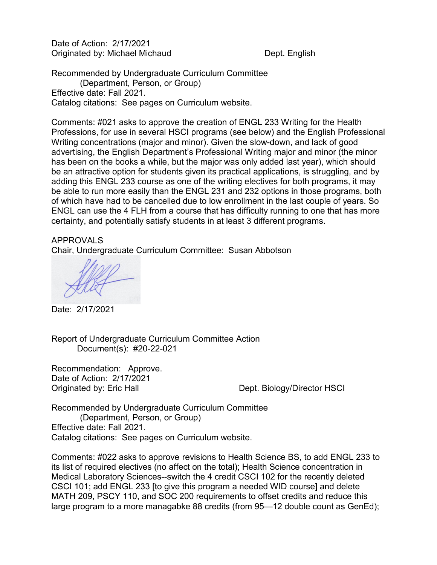Date of Action: 2/17/2021 Originated by: Michael Michaud Dept. English

Recommended by Undergraduate Curriculum Committee (Department, Person, or Group) Effective date: Fall 2021. Catalog citations: See pages on Curriculum website.

Comments: #021 asks to approve the creation of ENGL 233 Writing for the Health Professions, for use in several HSCI programs (see below) and the English Professional Writing concentrations (major and minor). Given the slow-down, and lack of good advertising, the English Department's Professional Writing major and minor (the minor has been on the books a while, but the major was only added last year), which should be an attractive option for students given its practical applications, is struggling, and by adding this ENGL 233 course as one of the writing electives for both programs, it may be able to run more easily than the ENGL 231 and 232 options in those programs, both of which have had to be cancelled due to low enrollment in the last couple of years. So ENGL can use the 4 FLH from a course that has difficulty running to one that has more certainty, and potentially satisfy students in at least 3 different programs.

## APPROVALS

Chair, Undergraduate Curriculum Committee: Susan Abbotson

Date: 2/17/2021

Report of Undergraduate Curriculum Committee Action Document(s): #20-22-021

Recommendation: Approve. Date of Action: 2/17/2021 Originated by: Eric Hall **Dept. Biology/Director HSCI** 

Recommended by Undergraduate Curriculum Committee (Department, Person, or Group) Effective date: Fall 2021. Catalog citations: See pages on Curriculum website.

Comments: #022 asks to approve revisions to Health Science BS, to add ENGL 233 to its list of required electives (no affect on the total); Health Science concentration in Medical Laboratory Sciences--switch the 4 credit CSCI 102 for the recently deleted CSCI 101; add ENGL 233 [to give this program a needed WID course] and delete MATH 209, PSCY 110, and SOC 200 requirements to offset credits and reduce this large program to a more managabke 88 credits (from 95—12 double count as GenEd);